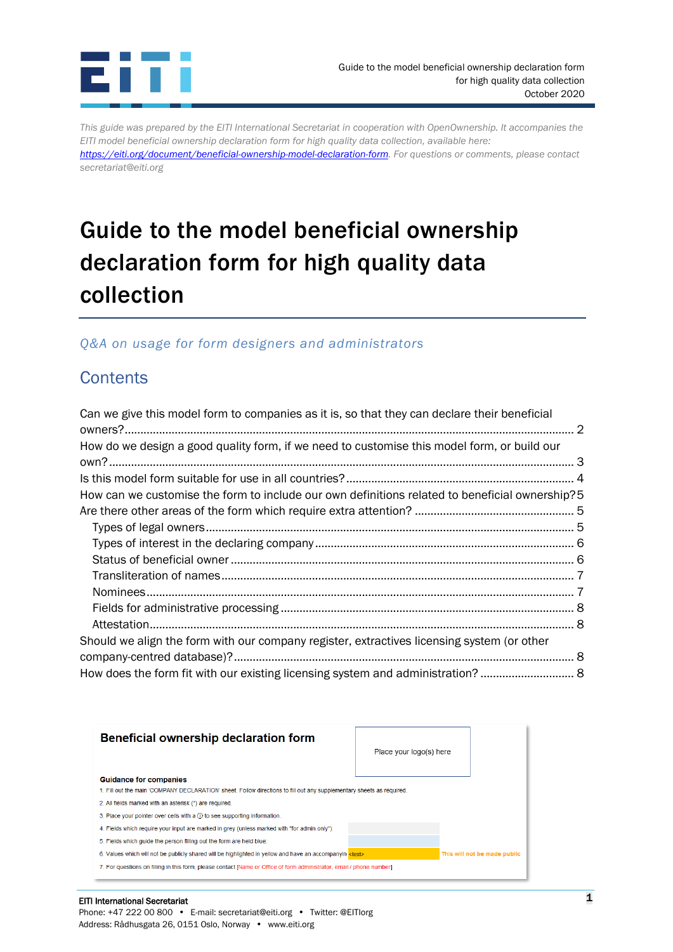

*This guide was prepared by the EITI International Secretariat in cooperation with OpenOwnership. It accompanies the EITI model beneficial ownership declaration form for high quality data collection, available here: [https://eiti.org/document/beneficial-ownership-model-declaration-form.](https://eiti.org/document/beneficial-ownership-model-declaration-form) For questions or comments, please contact* 

*secretariat@eiti.org*

# Guide to the model beneficial ownership declaration form for high quality data collection

### *Q&A on usage for form designers and administrators*

# **Contents**

| Can we give this model form to companies as it is, so that they can declare their beneficial    |  |
|-------------------------------------------------------------------------------------------------|--|
| How do we design a good quality form, if we need to customise this model form, or build our     |  |
|                                                                                                 |  |
|                                                                                                 |  |
| How can we customise the form to include our own definitions related to beneficial ownership? 5 |  |
|                                                                                                 |  |
|                                                                                                 |  |
|                                                                                                 |  |
|                                                                                                 |  |
|                                                                                                 |  |
|                                                                                                 |  |
|                                                                                                 |  |
|                                                                                                 |  |
| Should we align the form with our company register, extractives licensing system (or other      |  |
|                                                                                                 |  |
| How does the form fit with our existing licensing system and administration?                    |  |



#### EITI 1 International Secretariat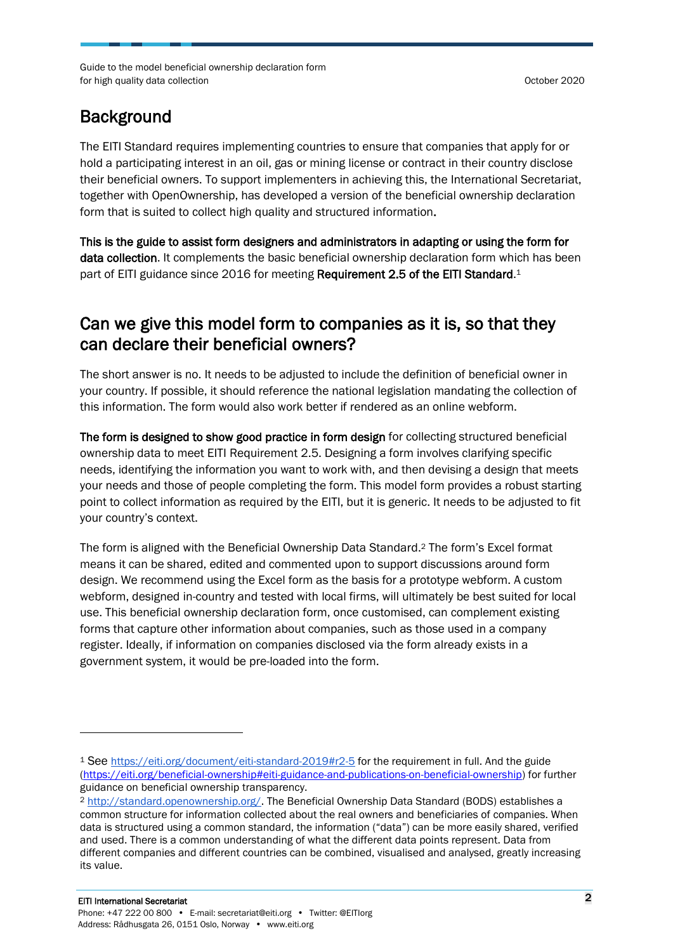### Background

The EITI Standard requires implementing countries to ensure that companies that apply for or hold a participating interest in an oil, gas or mining license or contract in their country disclose their beneficial owners. To support implementers in achieving this, the International Secretariat, together with OpenOwnership, has developed a version of the beneficial ownership declaration form that is suited to collect high quality and structured information.

This is the guide to assist form designers and administrators in adapting or using the form for data collection. It complements the basic beneficial ownership declaration form which has been part of EITI guidance since 2016 for meeting Requirement 2.5 of the EITI Standard.<sup>1</sup>

## <span id="page-1-0"></span>Can we give this model form to companies as it is, so that they can declare their beneficial owners?

The short answer is no. It needs to be adjusted to include the definition of beneficial owner in your country. If possible, it should reference the national legislation mandating the collection of this information. The form would also work better if rendered as an online webform.

The form is designed to show good practice in form design for collecting structured beneficial ownership data to meet EITI Requirement 2.5. Designing a form involves clarifying specific needs, identifying the information you want to work with, and then devising a design that meets your needs and those of people completing the form. This model form provides a robust starting point to collect information as required by the EITI, but it is generic. It needs to be adjusted to fit your country's context.

The form is aligned with the Beneficial Ownership Data Standard.<sup>2</sup> The form's Excel format means it can be shared, edited and commented upon to support discussions around form design. We recommend using the Excel form as the basis for a prototype webform. A custom webform, designed in-country and tested with local firms, will ultimately be best suited for local use. This beneficial ownership declaration form, once customised, can complement existing forms that capture other information about companies, such as those used in a company register. Ideally, if information on companies disclosed via the form already exists in a government system, it would be pre-loaded into the form.

<sup>1</sup> See <https://eiti.org/document/eiti-standard-2019#r2-5> for the requirement in full. And the guide [\(https://eiti.org/beneficial-ownership#eiti-guidance-and-publications-on-beneficial-ownership\)](https://eiti.org/beneficial-ownership#eiti-guidance-and-publications-on-beneficial-ownership) for further guidance on beneficial ownership transparency.

<sup>2</sup> [http://standard.openownership.org/.](http://standard.openownership.org/) The Beneficial Ownership Data Standard (BODS) establishes a common structure for information collected about the real owners and beneficiaries of companies. When data is structured using a common standard, the information ("data") can be more easily shared, verified and used. There is a common understanding of what the different data points represent. Data from different companies and different countries can be combined, visualised and analysed, greatly increasing its value.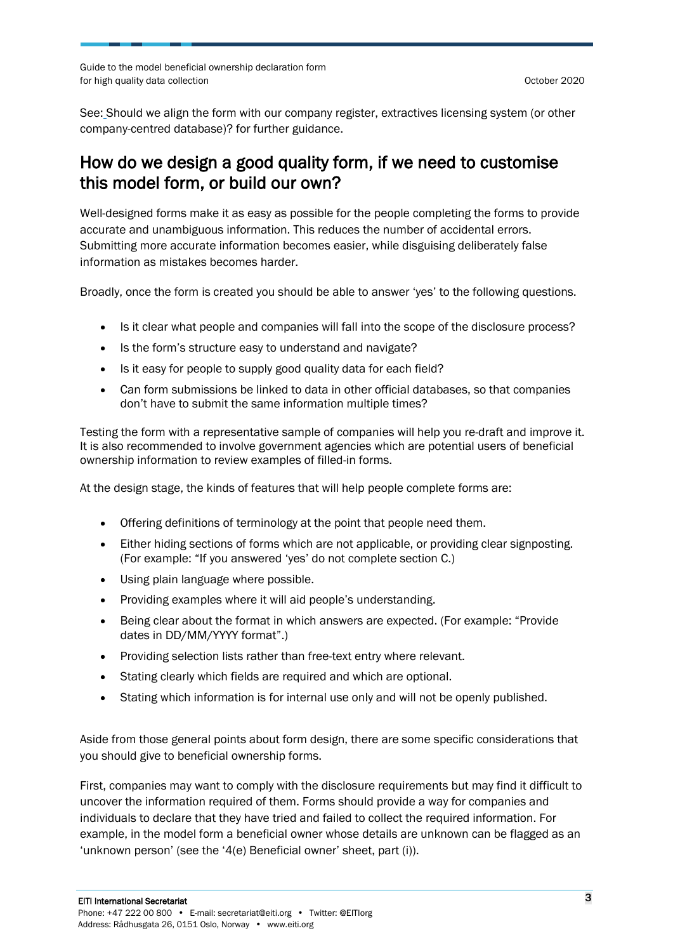Guide to the model beneficial ownership declaration form for high quality data collection  $\overline{a}$  of  $\overline{b}$  october 2020  $\overline{c}$  october 2020

See: [Should we align the form with our company register,](#page-7-2) extractives licensing system (or other [company-centred database\)?](#page-7-2) for further guidance.

### <span id="page-2-0"></span>How do we design a good quality form, if we need to customise this model form, or build our own?

Well-designed forms make it as easy as possible for the people completing the forms to provide accurate and unambiguous information. This reduces the number of accidental errors. Submitting more accurate information becomes easier, while disguising deliberately false information as mistakes becomes harder.

Broadly, once the form is created you should be able to answer 'yes' to the following questions.

- Is it clear what people and companies will fall into the scope of the disclosure process?
- Is the form's structure easy to understand and navigate?
- Is it easy for people to supply good quality data for each field?
- Can form submissions be linked to data in other official databases, so that companies don't have to submit the same information multiple times?

Testing the form with a representative sample of companies will help you re-draft and improve it. It is also recommended to involve government agencies which are potential users of beneficial ownership information to review examples of filled-in forms.

At the design stage, the kinds of features that will help people complete forms are:

- Offering definitions of terminology at the point that people need them.
- Either hiding sections of forms which are not applicable, or providing clear signposting. (For example: "If you answered 'yes' do not complete section C.)
- Using plain language where possible.
- Providing examples where it will aid people's understanding.
- Being clear about the format in which answers are expected. (For example: "Provide dates in DD/MM/YYYY format".)
- Providing selection lists rather than free-text entry where relevant.
- Stating clearly which fields are required and which are optional.
- Stating which information is for internal use only and will not be openly published.

Aside from those general points about form design, there are some specific considerations that you should give to beneficial ownership forms.

First, companies may want to comply with the disclosure requirements but may find it difficult to uncover the information required of them. Forms should provide a way for companies and individuals to declare that they have tried and failed to collect the required information. For example, in the model form a beneficial owner whose details are unknown can be flagged as an 'unknown person' (see the '4(e) Beneficial owner' sheet, part (i)).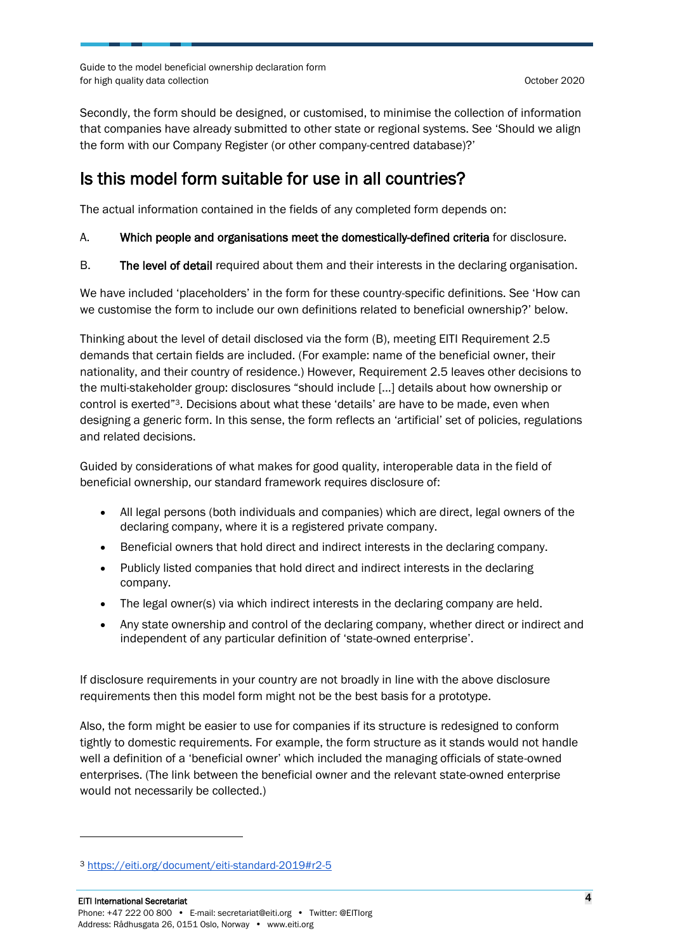Secondly, the form should be designed, or customised, to minimise the collection of information that companies have already submitted to other state or regional systems. See 'Should we align the form with our Company Register (or other company-centred database)?'

## <span id="page-3-0"></span>Is this model form suitable for use in all countries?

The actual information contained in the fields of any completed form depends on:

#### A. Which people and organisations meet the domestically-defined criteria for disclosure.

B. The level of detail required about them and their interests in the declaring organisation.

We have included 'placeholders' in the form for these country-specific definitions. See '[How can](#page-4-0)  [we customise the form to include our own definitions related to beneficial ownership?](#page-4-0)' below.

Thinking about the level of detail disclosed via the form (B), meeting EITI Requirement 2.5 demands that certain fields are included. (For example: name of the beneficial owner, their nationality, and their country of residence.) However, Requirement 2.5 leaves other decisions to the multi-stakeholder group: disclosures "should include [...] details about how ownership or control is exerted"3. Decisions about what these 'details' are have to be made, even when designing a generic form. In this sense, the form reflects an 'artificial' set of policies, regulations and related decisions.

Guided by considerations of what makes for good quality, interoperable data in the field of beneficial ownership, our standard framework requires disclosure of:

- All legal persons (both individuals and companies) which are direct, legal owners of the declaring company, where it is a registered private company.
- Beneficial owners that hold direct and indirect interests in the declaring company.
- Publicly listed companies that hold direct and indirect interests in the declaring company.
- The legal owner(s) via which indirect interests in the declaring company are held.
- Any state ownership and control of the declaring company, whether direct or indirect and independent of any particular definition of 'state-owned enterprise'.

If disclosure requirements in your country are not broadly in line with the above disclosure requirements then this model form might not be the best basis for a prototype.

Also, the form might be easier to use for companies if its structure is redesigned to conform tightly to domestic requirements. For example, the form structure as it stands would not handle well a definition of a 'beneficial owner' which included the managing officials of state-owned enterprises. (The link between the beneficial owner and the relevant state-owned enterprise would not necessarily be collected.)

<sup>3</sup> <https://eiti.org/document/eiti-standard-2019#r2-5>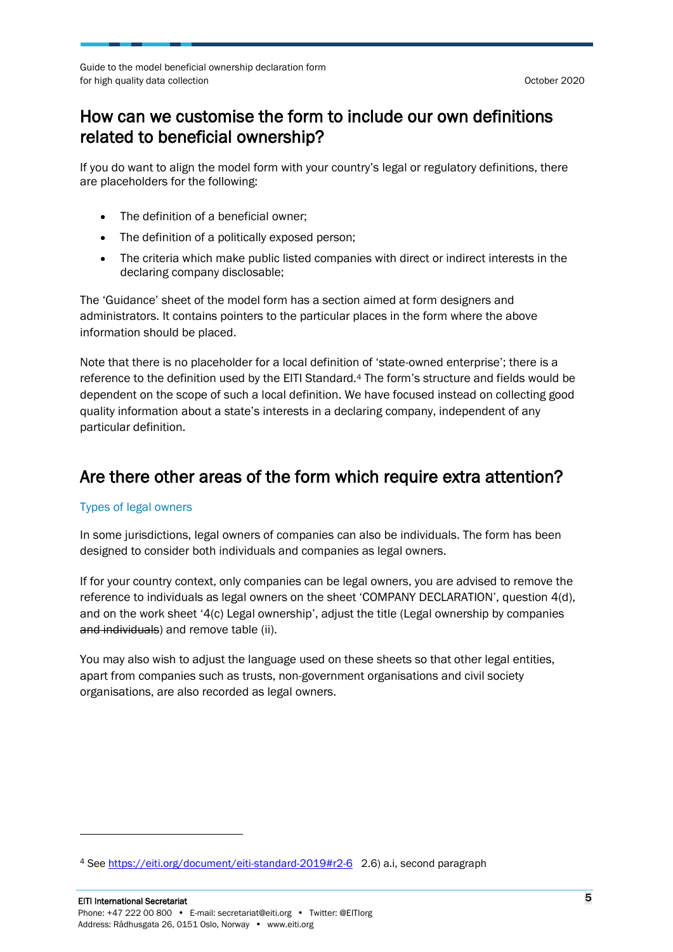## <span id="page-4-0"></span>How can we customise the form to include our own definitions related to beneficial ownership?

If you do want to align the model form with your country's legal or regulatory definitions, there are placeholders for the following:

- The definition of a beneficial owner;
- The definition of a politically exposed person;
- The criteria which make public listed companies with direct or indirect interests in the declaring company disclosable;

The 'Guidance' sheet of the model form has a section aimed at form designers and administrators. It contains pointers to the particular places in the form where the above information should be placed.

Note that there is no placeholder for a local definition of 'state-owned enterprise'; there is a reference to the definition used by the EITI Standard.<sup>4</sup> The form's structure and fields would be dependent on the scope of such a local definition. We have focused instead on collecting good quality information about a state's interests in a declaring company, independent of any particular definition.

### <span id="page-4-1"></span>Are there other areas of the form which require extra attention?

#### <span id="page-4-2"></span>Types of legal owners

In some jurisdictions, legal owners of companies can also be individuals. The form has been designed to consider both individuals and companies as legal owners.

If for your country context, only companies can be legal owners, you are advised to remove the reference to individuals as legal owners on the sheet 'COMPANY DECLARATION', question 4(d), and on the work sheet '4(c) Legal ownership', adjust the title (Legal ownership by companies and individuals) and remove table (ii).

You may also wish to adjust the language used on these sheets so that other legal entities, apart from companies such as trusts, non-government organisations and civil society organisations, are also recorded as legal owners.

<sup>4</sup> See<https://eiti.org/document/eiti-standard-2019#r2-6>2.6) a.i, second paragraph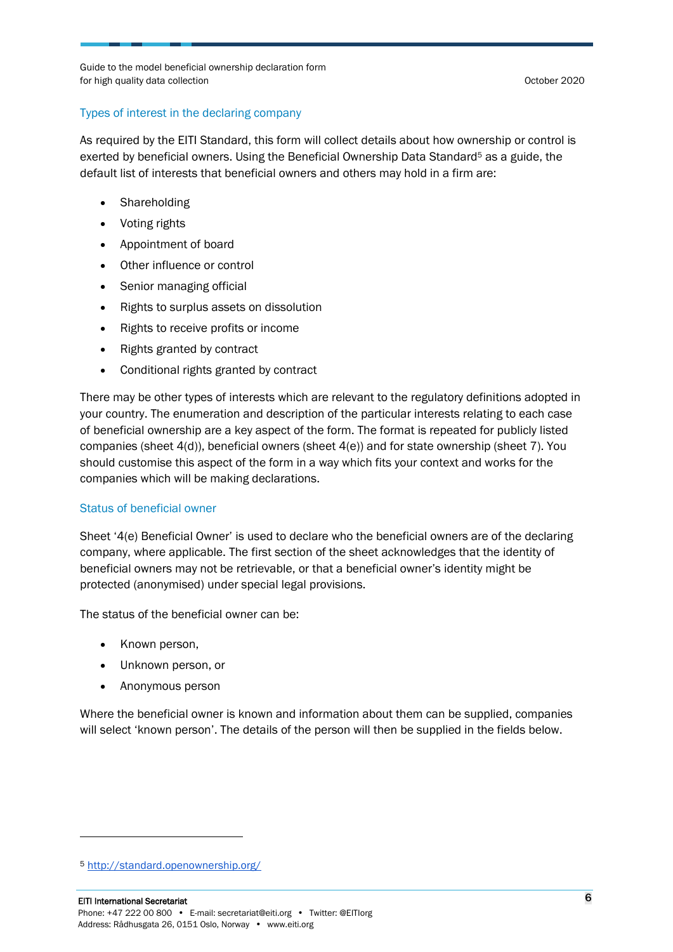#### <span id="page-5-0"></span>Types of interest in the declaring company

As required by the EITI Standard, this form will collect details about how ownership or control is exerted by beneficial owners. Using the Beneficial Ownership Data Standard<sup>5</sup> as a guide, the default list of interests that beneficial owners and others may hold in a firm are:

- Shareholding
- Voting rights
- Appointment of board
- Other influence or control
- Senior managing official
- Rights to surplus assets on dissolution
- Rights to receive profits or income
- Rights granted by contract
- Conditional rights granted by contract

There may be other types of interests which are relevant to the regulatory definitions adopted in your country. The enumeration and description of the particular interests relating to each case of beneficial ownership are a key aspect of the form. The format is repeated for publicly listed companies (sheet 4(d)), beneficial owners (sheet 4(e)) and for state ownership (sheet 7). You should customise this aspect of the form in a way which fits your context and works for the companies which will be making declarations.

#### <span id="page-5-1"></span>Status of beneficial owner

Sheet '4(e) Beneficial Owner' is used to declare who the beneficial owners are of the declaring company, where applicable. The first section of the sheet acknowledges that the identity of beneficial owners may not be retrievable, or that a beneficial owner's identity might be protected (anonymised) under special legal provisions.

The status of the beneficial owner can be:

- Known person,
- Unknown person, or
- Anonymous person

Where the beneficial owner is known and information about them can be supplied, companies will select 'known person'. The details of the person will then be supplied in the fields below.

<sup>5</sup> <http://standard.openownership.org/>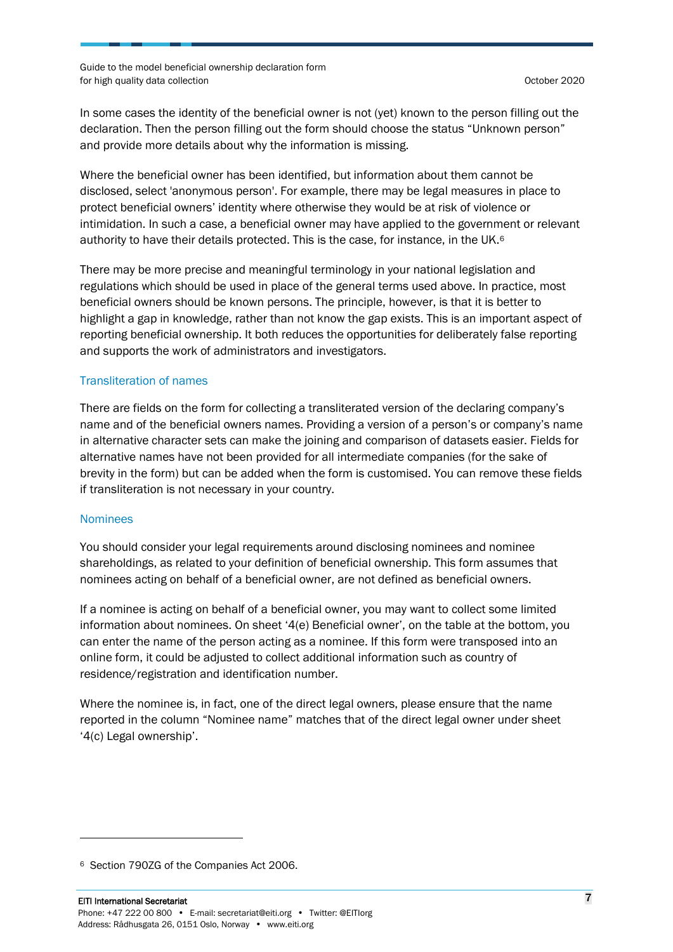In some cases the identity of the beneficial owner is not (yet) known to the person filling out the declaration. Then the person filling out the form should choose the status "Unknown person" and provide more details about why the information is missing.

Where the beneficial owner has been identified, but information about them cannot be disclosed, select 'anonymous person'. For example, there may be legal measures in place to protect beneficial owners' identity where otherwise they would be at risk of violence or intimidation. In such a case, a beneficial owner may have applied to the government or relevant authority to have their details protected. This is the case, for instance, in the UK.<sup>6</sup>

There may be more precise and meaningful terminology in your national legislation and regulations which should be used in place of the general terms used above. In practice, most beneficial owners should be known persons. The principle, however, is that it is better to highlight a gap in knowledge, rather than not know the gap exists. This is an important aspect of reporting beneficial ownership. It both reduces the opportunities for deliberately false reporting and supports the work of administrators and investigators.

#### <span id="page-6-0"></span>Transliteration of names

There are fields on the form for collecting a transliterated version of the declaring company's name and of the beneficial owners names. Providing a version of a person's or company's name in alternative character sets can make the joining and comparison of datasets easier. Fields for alternative names have not been provided for all intermediate companies (for the sake of brevity in the form) but can be added when the form is customised. You can remove these fields if transliteration is not necessary in your country.

#### <span id="page-6-1"></span>Nominees

You should consider your legal requirements around disclosing nominees and nominee shareholdings, as related to your definition of beneficial ownership. This form assumes that nominees acting on behalf of a beneficial owner, are not defined as beneficial owners.

If a nominee is acting on behalf of a beneficial owner, you may want to collect some limited information about nominees. On sheet '4(e) Beneficial owner', on the table at the bottom, you can enter the name of the person acting as a nominee. If this form were transposed into an online form, it could be adjusted to collect additional information such as country of residence/registration and identification number.

Where the nominee is, in fact, one of the direct legal owners, please ensure that the name reported in the column "Nominee name" matches that of the direct legal owner under sheet '4(c) Legal ownership'.

<sup>6</sup> Section 790ZG of the Companies Act 2006.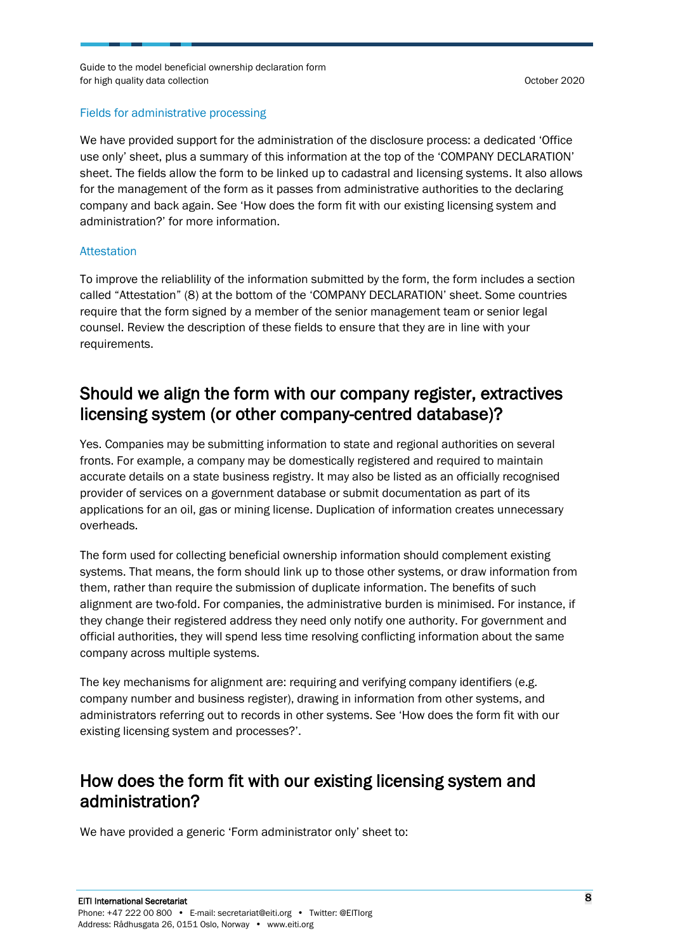#### <span id="page-7-0"></span>Fields for administrative processing

We have provided support for the administration of the disclosure process: a dedicated 'Office use only' sheet, plus a summary of this information at the top of the 'COMPANY DECLARATION' sheet. The fields allow the form to be linked up to cadastral and licensing systems. It also allows for the management of the form as it passes from administrative authorities to the declaring company and back again. See '[How does the form fit with our existing licensing system and](#page-7-3)  [administration?](#page-7-3)' for more information.

#### <span id="page-7-1"></span>Attestation

To improve the reliablility of the information submitted by the form, the form includes a section called "Attestation" (8) at the bottom of the 'COMPANY DECLARATION' sheet. Some countries require that the form signed by a member of the senior management team or senior legal counsel. Review the description of these fields to ensure that they are in line with your requirements.

### <span id="page-7-2"></span>Should we align the form with our company register, extractives licensing system (or other company-centred database)?

Yes. Companies may be submitting information to state and regional authorities on several fronts. For example, a company may be domestically registered and required to maintain accurate details on a state business registry. It may also be listed as an officially recognised provider of services on a government database or submit documentation as part of its applications for an oil, gas or mining license. Duplication of information creates unnecessary overheads.

The form used for collecting beneficial ownership information should complement existing systems. That means, the form should link up to those other systems, or draw information from them, rather than require the submission of duplicate information. The benefits of such alignment are two-fold. For companies, the administrative burden is minimised. For instance, if they change their registered address they need only notify one authority. For government and official authorities, they will spend less time resolving conflicting information about the same company across multiple systems.

The key mechanisms for alignment are: requiring and verifying company identifiers (e.g. company number and business register), drawing in information from other systems, and administrators referring out to records in other systems. See 'How does the form fit with our existing licensing system and processes?'.

### <span id="page-7-3"></span>How does the form fit with our existing licensing system and administration?

We have provided a generic 'Form administrator only' sheet to: